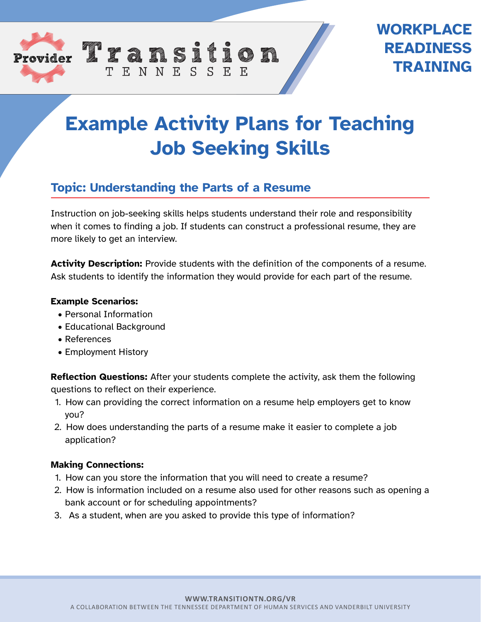

# **WORKPLACE READINESS TRAINING**

# **Example Activity Plans for Teaching Job Seeking Skills**

### **Topic: Understanding the Parts of a Resume**

TENNESSEE

Instruction on job-seeking skills helps students understand their role and responsibility when it comes to finding a job. If students can construct a professional resume, they are more likely to get an interview.

**Activity Description:** Provide students with the definition of the components of a resume. Ask students to identify the information they would provide for each part of the resume.

#### **Example Scenarios:**

- Personal Information
- Educational Background
- References
- Employment History

**Reflection Questions:** After your students complete the activity, ask them the following questions to reflect on their experience.

- 1. How can providing the correct information on a resume help employers get to know you?
- 2. How does understanding the parts of a resume make it easier to complete a job application?

#### **Making Connections:**

- 1. How can you store the information that you will need to create a resume?
- 2. How is information included on a resume also used for other reasons such as opening a bank account or for scheduling appointments?
- 3. As a student, when are you asked to provide this type of information?